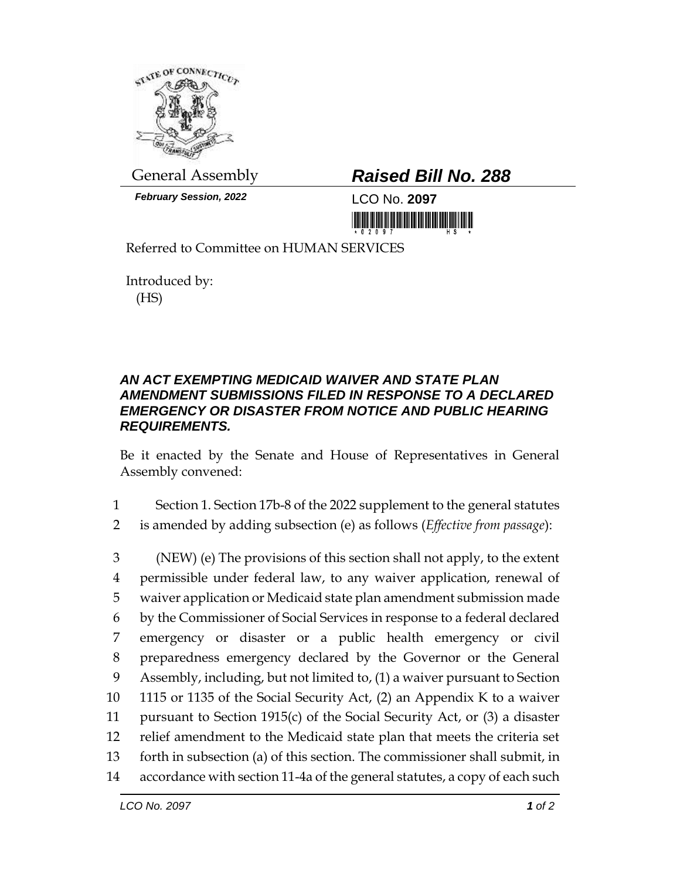

*February Session, 2022* LCO No. **2097**

## General Assembly *Raised Bill No. 288*

<u> 1999 - An Dùbhlachd Marwrig Marwr a 1999 - An Dùbhaich An Dùbhlachd Marwr a 1999 - An Dùbhlachd Marwr a 1999 - </u>

Referred to Committee on HUMAN SERVICES

Introduced by: (HS)

## *AN ACT EXEMPTING MEDICAID WAIVER AND STATE PLAN AMENDMENT SUBMISSIONS FILED IN RESPONSE TO A DECLARED EMERGENCY OR DISASTER FROM NOTICE AND PUBLIC HEARING REQUIREMENTS.*

Be it enacted by the Senate and House of Representatives in General Assembly convened:

1 Section 1. Section 17b-8 of the 2022 supplement to the general statutes

2 is amended by adding subsection (e) as follows (*Effective from passage*):

 (NEW) (e) The provisions of this section shall not apply, to the extent permissible under federal law, to any waiver application, renewal of waiver application or Medicaid state plan amendment submission made by the Commissioner of Social Services in response to a federal declared emergency or disaster or a public health emergency or civil preparedness emergency declared by the Governor or the General Assembly, including, but not limited to, (1) a waiver pursuant to Section 1115 or 1135 of the Social Security Act, (2) an Appendix K to a waiver pursuant to Section 1915(c) of the Social Security Act, or (3) a disaster relief amendment to the Medicaid state plan that meets the criteria set forth in subsection (a) of this section. The commissioner shall submit, in accordance with section 11-4a of the general statutes, a copy of each such